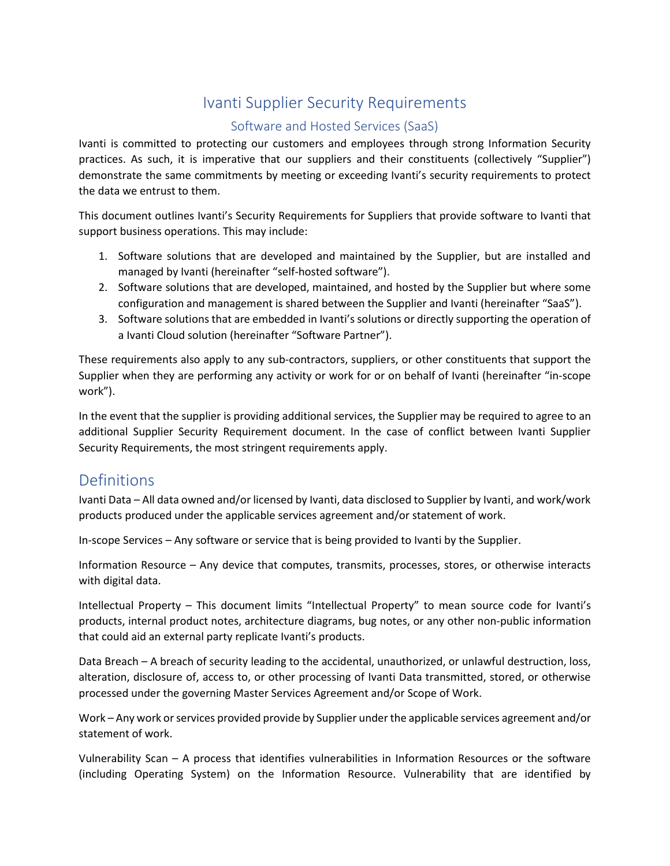# Ivanti Supplier Security Requirements

# Software and Hosted Services (SaaS)

Ivanti is committed to protecting our customers and employees through strong Information Security practices. As such, it is imperative that our suppliers and their constituents (collectively "Supplier") demonstrate the same commitments by meeting or exceeding Ivanti's security requirements to protect the data we entrust to them.

This document outlines Ivanti's Security Requirements for Suppliers that provide software to Ivanti that support business operations. This may include:

- 1. Software solutions that are developed and maintained by the Supplier, but are installed and managed by Ivanti (hereinafter "self-hosted software").
- 2. Software solutions that are developed, maintained, and hosted by the Supplier but where some configuration and management is shared between the Supplier and Ivanti (hereinafter "SaaS").
- 3. Software solutions that are embedded in Ivanti's solutions or directly supporting the operation of a Ivanti Cloud solution (hereinafter "Software Partner").

These requirements also apply to any sub-contractors, suppliers, or other constituents that support the Supplier when they are performing any activity or work for or on behalf of Ivanti (hereinafter "in-scope work").

In the event that the supplier is providing additional services, the Supplier may be required to agree to an additional Supplier Security Requirement document. In the case of conflict between Ivanti Supplier Security Requirements, the most stringent requirements apply.

# Definitions

Ivanti Data – All data owned and/or licensed by Ivanti, data disclosed to Supplier by Ivanti, and work/work products produced under the applicable services agreement and/or statement of work.

In-scope Services – Any software or service that is being provided to Ivanti by the Supplier.

Information Resource – Any device that computes, transmits, processes, stores, or otherwise interacts with digital data.

Intellectual Property – This document limits "Intellectual Property" to mean source code for Ivanti's products, internal product notes, architecture diagrams, bug notes, or any other non-public information that could aid an external party replicate Ivanti's products.

Data Breach – A breach of security leading to the accidental, unauthorized, or unlawful destruction, loss, alteration, disclosure of, access to, or other processing of Ivanti Data transmitted, stored, or otherwise processed under the governing Master Services Agreement and/or Scope of Work.

Work – Any work or services provided provide by Supplier under the applicable services agreement and/or statement of work.

Vulnerability Scan – A process that identifies vulnerabilities in Information Resources or the software (including Operating System) on the Information Resource. Vulnerability that are identified by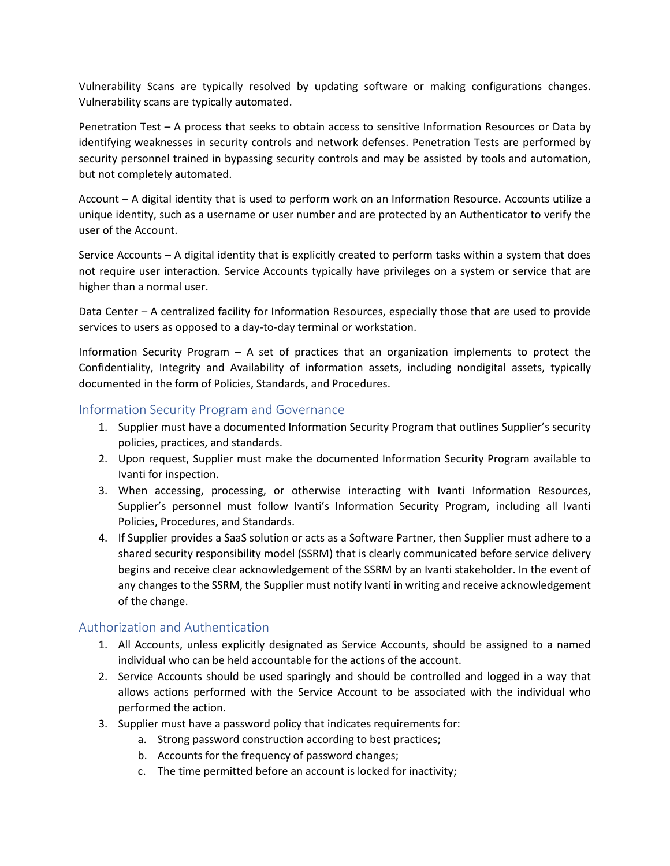Vulnerability Scans are typically resolved by updating software or making configurations changes. Vulnerability scans are typically automated.

Penetration Test – A process that seeks to obtain access to sensitive Information Resources or Data by identifying weaknesses in security controls and network defenses. Penetration Tests are performed by security personnel trained in bypassing security controls and may be assisted by tools and automation, but not completely automated.

Account – A digital identity that is used to perform work on an Information Resource. Accounts utilize a unique identity, such as a username or user number and are protected by an Authenticator to verify the user of the Account.

Service Accounts – A digital identity that is explicitly created to perform tasks within a system that does not require user interaction. Service Accounts typically have privileges on a system or service that are higher than a normal user.

Data Center – A centralized facility for Information Resources, especially those that are used to provide services to users as opposed to a day-to-day terminal or workstation.

Information Security Program – A set of practices that an organization implements to protect the Confidentiality, Integrity and Availability of information assets, including nondigital assets, typically documented in the form of Policies, Standards, and Procedures.

#### Information Security Program and Governance

- 1. Supplier must have a documented Information Security Program that outlines Supplier's security policies, practices, and standards.
- 2. Upon request, Supplier must make the documented Information Security Program available to Ivanti for inspection.
- 3. When accessing, processing, or otherwise interacting with Ivanti Information Resources, Supplier's personnel must follow Ivanti's Information Security Program, including all Ivanti Policies, Procedures, and Standards.
- 4. If Supplier provides a SaaS solution or acts as a Software Partner, then Supplier must adhere to a shared security responsibility model (SSRM) that is clearly communicated before service delivery begins and receive clear acknowledgement of the SSRM by an Ivanti stakeholder. In the event of any changes to the SSRM, the Supplier must notify Ivanti in writing and receive acknowledgement of the change.

# Authorization and Authentication

- 1. All Accounts, unless explicitly designated as Service Accounts, should be assigned to a named individual who can be held accountable for the actions of the account.
- 2. Service Accounts should be used sparingly and should be controlled and logged in a way that allows actions performed with the Service Account to be associated with the individual who performed the action.
- 3. Supplier must have a password policy that indicates requirements for:
	- a. Strong password construction according to best practices;
	- b. Accounts for the frequency of password changes;
	- c. The time permitted before an account is locked for inactivity;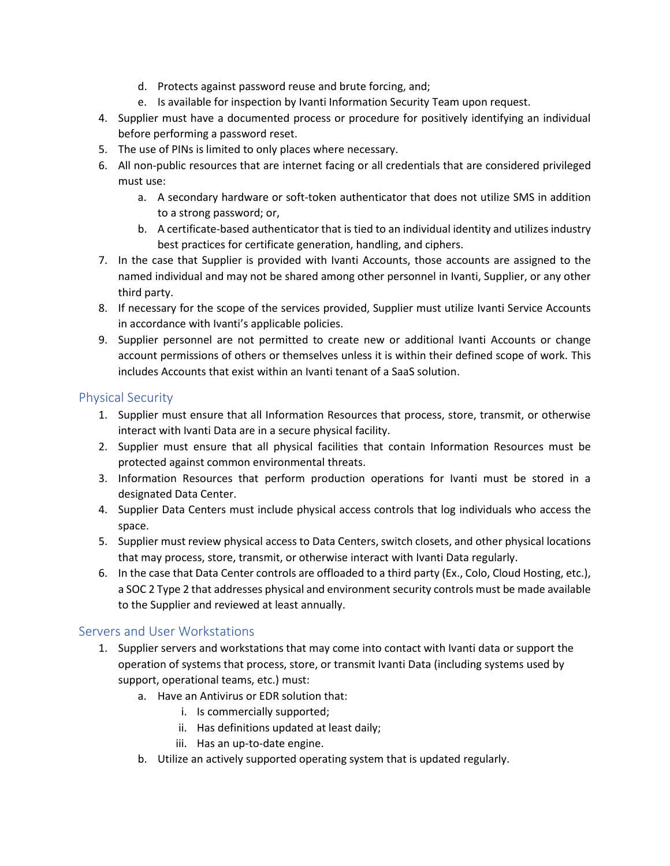- d. Protects against password reuse and brute forcing, and;
- e. Is available for inspection by Ivanti Information Security Team upon request.
- 4. Supplier must have a documented process or procedure for positively identifying an individual before performing a password reset.
- 5. The use of PINs is limited to only places where necessary.
- 6. All non-public resources that are internet facing or all credentials that are considered privileged must use:
	- a. A secondary hardware or soft-token authenticator that does not utilize SMS in addition to a strong password; or,
	- b. A certificate-based authenticator that is tied to an individual identity and utilizes industry best practices for certificate generation, handling, and ciphers.
- 7. In the case that Supplier is provided with Ivanti Accounts, those accounts are assigned to the named individual and may not be shared among other personnel in Ivanti, Supplier, or any other third party.
- 8. If necessary for the scope of the services provided, Supplier must utilize Ivanti Service Accounts in accordance with Ivanti's applicable policies.
- 9. Supplier personnel are not permitted to create new or additional Ivanti Accounts or change account permissions of others or themselves unless it is within their defined scope of work. This includes Accounts that exist within an Ivanti tenant of a SaaS solution.

# Physical Security

- 1. Supplier must ensure that all Information Resources that process, store, transmit, or otherwise interact with Ivanti Data are in a secure physical facility.
- 2. Supplier must ensure that all physical facilities that contain Information Resources must be protected against common environmental threats.
- 3. Information Resources that perform production operations for Ivanti must be stored in a designated Data Center.
- 4. Supplier Data Centers must include physical access controls that log individuals who access the space.
- 5. Supplier must review physical access to Data Centers, switch closets, and other physical locations that may process, store, transmit, or otherwise interact with Ivanti Data regularly.
- 6. In the case that Data Center controls are offloaded to a third party (Ex., Colo, Cloud Hosting, etc.), a SOC 2 Type 2 that addresses physical and environment security controls must be made available to the Supplier and reviewed at least annually.

# Servers and User Workstations

- 1. Supplier servers and workstations that may come into contact with Ivanti data or support the operation of systems that process, store, or transmit Ivanti Data (including systems used by support, operational teams, etc.) must:
	- a. Have an Antivirus or EDR solution that:
		- i. Is commercially supported;
		- ii. Has definitions updated at least daily;
		- iii. Has an up-to-date engine.
	- b. Utilize an actively supported operating system that is updated regularly.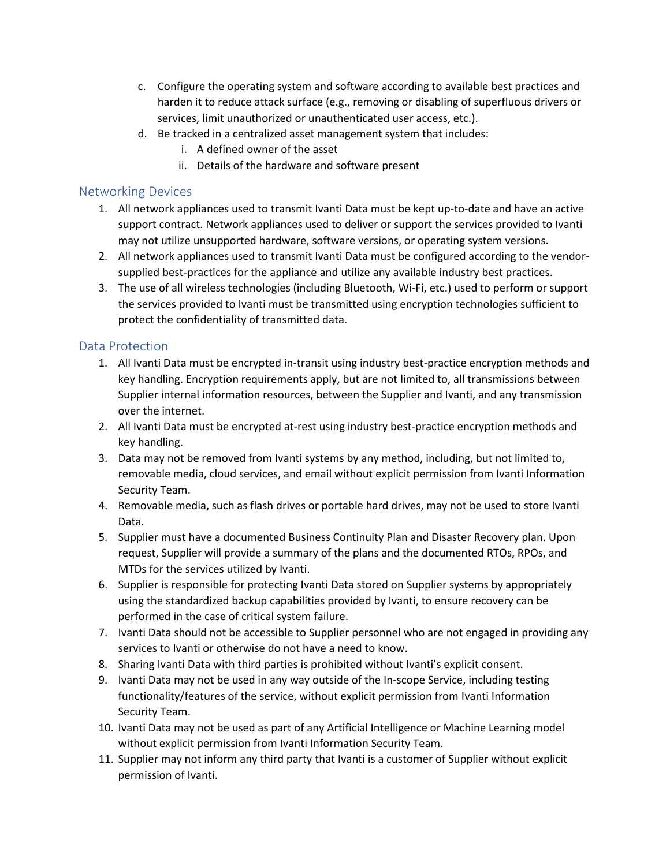- c. Configure the operating system and software according to available best practices and harden it to reduce attack surface (e.g., removing or disabling of superfluous drivers or services, limit unauthorized or unauthenticated user access, etc.).
- d. Be tracked in a centralized asset management system that includes:
	- i. A defined owner of the asset
	- ii. Details of the hardware and software present

#### Networking Devices

- 1. All network appliances used to transmit Ivanti Data must be kept up-to-date and have an active support contract. Network appliances used to deliver or support the services provided to Ivanti may not utilize unsupported hardware, software versions, or operating system versions.
- 2. All network appliances used to transmit Ivanti Data must be configured according to the vendorsupplied best-practices for the appliance and utilize any available industry best practices.
- 3. The use of all wireless technologies (including Bluetooth, Wi-Fi, etc.) used to perform or support the services provided to Ivanti must be transmitted using encryption technologies sufficient to protect the confidentiality of transmitted data.

# Data Protection

- 1. All Ivanti Data must be encrypted in-transit using industry best-practice encryption methods and key handling. Encryption requirements apply, but are not limited to, all transmissions between Supplier internal information resources, between the Supplier and Ivanti, and any transmission over the internet.
- 2. All Ivanti Data must be encrypted at-rest using industry best-practice encryption methods and key handling.
- 3. Data may not be removed from Ivanti systems by any method, including, but not limited to, removable media, cloud services, and email without explicit permission from Ivanti Information Security Team.
- 4. Removable media, such as flash drives or portable hard drives, may not be used to store Ivanti Data.
- 5. Supplier must have a documented Business Continuity Plan and Disaster Recovery plan. Upon request, Supplier will provide a summary of the plans and the documented RTOs, RPOs, and MTDs for the services utilized by Ivanti.
- 6. Supplier is responsible for protecting Ivanti Data stored on Supplier systems by appropriately using the standardized backup capabilities provided by Ivanti, to ensure recovery can be performed in the case of critical system failure.
- 7. Ivanti Data should not be accessible to Supplier personnel who are not engaged in providing any services to Ivanti or otherwise do not have a need to know.
- 8. Sharing Ivanti Data with third parties is prohibited without Ivanti's explicit consent.
- 9. Ivanti Data may not be used in any way outside of the In-scope Service, including testing functionality/features of the service, without explicit permission from Ivanti Information Security Team.
- 10. Ivanti Data may not be used as part of any Artificial Intelligence or Machine Learning model without explicit permission from Ivanti Information Security Team.
- 11. Supplier may not inform any third party that Ivanti is a customer of Supplier without explicit permission of Ivanti.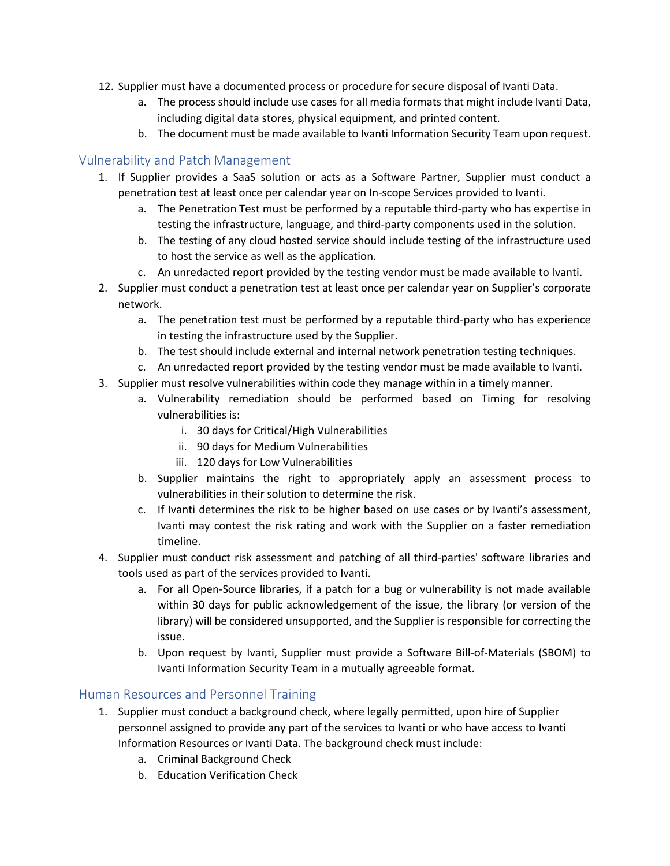- 12. Supplier must have a documented process or procedure for secure disposal of Ivanti Data.
	- a. The process should include use cases for all media formats that might include Ivanti Data, including digital data stores, physical equipment, and printed content.
	- b. The document must be made available to Ivanti Information Security Team upon request.

#### Vulnerability and Patch Management

- 1. If Supplier provides a SaaS solution or acts as a Software Partner, Supplier must conduct a penetration test at least once per calendar year on In-scope Services provided to Ivanti.
	- a. The Penetration Test must be performed by a reputable third-party who has expertise in testing the infrastructure, language, and third-party components used in the solution.
	- b. The testing of any cloud hosted service should include testing of the infrastructure used to host the service as well as the application.
	- c. An unredacted report provided by the testing vendor must be made available to Ivanti.
- 2. Supplier must conduct a penetration test at least once per calendar year on Supplier's corporate network.
	- a. The penetration test must be performed by a reputable third-party who has experience in testing the infrastructure used by the Supplier.
	- b. The test should include external and internal network penetration testing techniques.
	- c. An unredacted report provided by the testing vendor must be made available to Ivanti.
- 3. Supplier must resolve vulnerabilities within code they manage within in a timely manner.
	- a. Vulnerability remediation should be performed based on Timing for resolving vulnerabilities is:
		- i. 30 days for Critical/High Vulnerabilities
		- ii. 90 days for Medium Vulnerabilities
		- iii. 120 days for Low Vulnerabilities
	- b. Supplier maintains the right to appropriately apply an assessment process to vulnerabilities in their solution to determine the risk.
	- c. If Ivanti determines the risk to be higher based on use cases or by Ivanti's assessment, Ivanti may contest the risk rating and work with the Supplier on a faster remediation timeline.
- 4. Supplier must conduct risk assessment and patching of all third-parties' software libraries and tools used as part of the services provided to Ivanti.
	- a. For all Open-Source libraries, if a patch for a bug or vulnerability is not made available within 30 days for public acknowledgement of the issue, the library (or version of the library) will be considered unsupported, and the Supplier is responsible for correcting the issue.
	- b. Upon request by Ivanti, Supplier must provide a Software Bill-of-Materials (SBOM) to Ivanti Information Security Team in a mutually agreeable format.

#### Human Resources and Personnel Training

- 1. Supplier must conduct a background check, where legally permitted, upon hire of Supplier personnel assigned to provide any part of the services to Ivanti or who have access to Ivanti Information Resources or Ivanti Data. The background check must include:
	- a. Criminal Background Check
	- b. Education Verification Check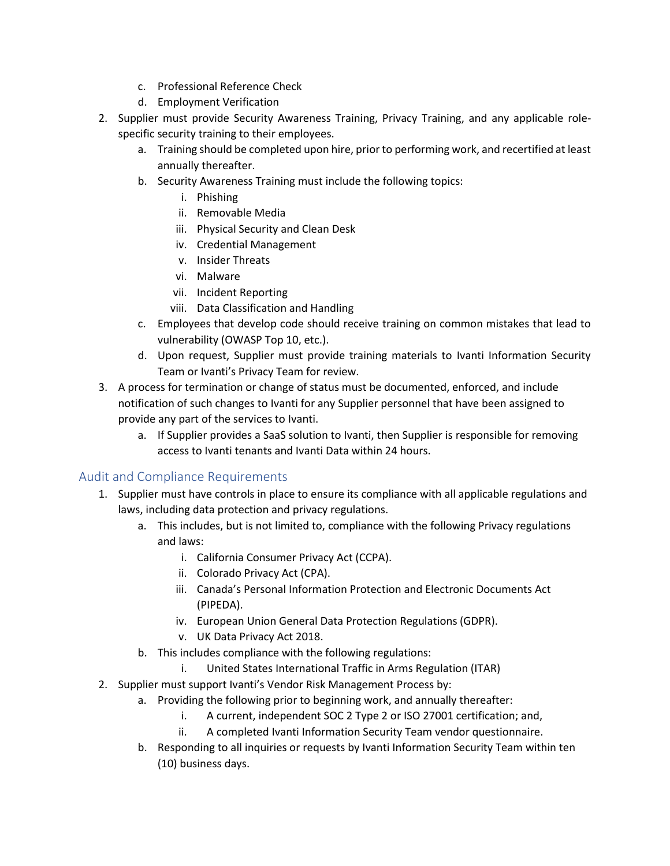- c. Professional Reference Check
- d. Employment Verification
- 2. Supplier must provide Security Awareness Training, Privacy Training, and any applicable rolespecific security training to their employees.
	- a. Training should be completed upon hire, prior to performing work, and recertified at least annually thereafter.
	- b. Security Awareness Training must include the following topics:
		- i. Phishing
		- ii. Removable Media
		- iii. Physical Security and Clean Desk
		- iv. Credential Management
		- v. Insider Threats
		- vi. Malware
		- vii. Incident Reporting
		- viii. Data Classification and Handling
	- c. Employees that develop code should receive training on common mistakes that lead to vulnerability (OWASP Top 10, etc.).
	- d. Upon request, Supplier must provide training materials to Ivanti Information Security Team or Ivanti's Privacy Team for review.
- 3. A process for termination or change of status must be documented, enforced, and include notification of such changes to Ivanti for any Supplier personnel that have been assigned to provide any part of the services to Ivanti.
	- a. If Supplier provides a SaaS solution to Ivanti, then Supplier is responsible for removing access to Ivanti tenants and Ivanti Data within 24 hours.

#### Audit and Compliance Requirements

- 1. Supplier must have controls in place to ensure its compliance with all applicable regulations and laws, including data protection and privacy regulations.
	- a. This includes, but is not limited to, compliance with the following Privacy regulations and laws:
		- i. California Consumer Privacy Act (CCPA).
		- ii. Colorado Privacy Act (CPA).
		- iii. Canada's Personal Information Protection and Electronic Documents Act (PIPEDA).
		- iv. European Union General Data Protection Regulations (GDPR).
		- v. UK Data Privacy Act 2018.
	- b. This includes compliance with the following regulations:
		- i. United States International Traffic in Arms Regulation (ITAR)
- 2. Supplier must support Ivanti's Vendor Risk Management Process by:
	- a. Providing the following prior to beginning work, and annually thereafter:
		- i. A current, independent SOC 2 Type 2 or ISO 27001 certification; and,
		- ii. A completed Ivanti Information Security Team vendor questionnaire.
	- b. Responding to all inquiries or requests by Ivanti Information Security Team within ten (10) business days.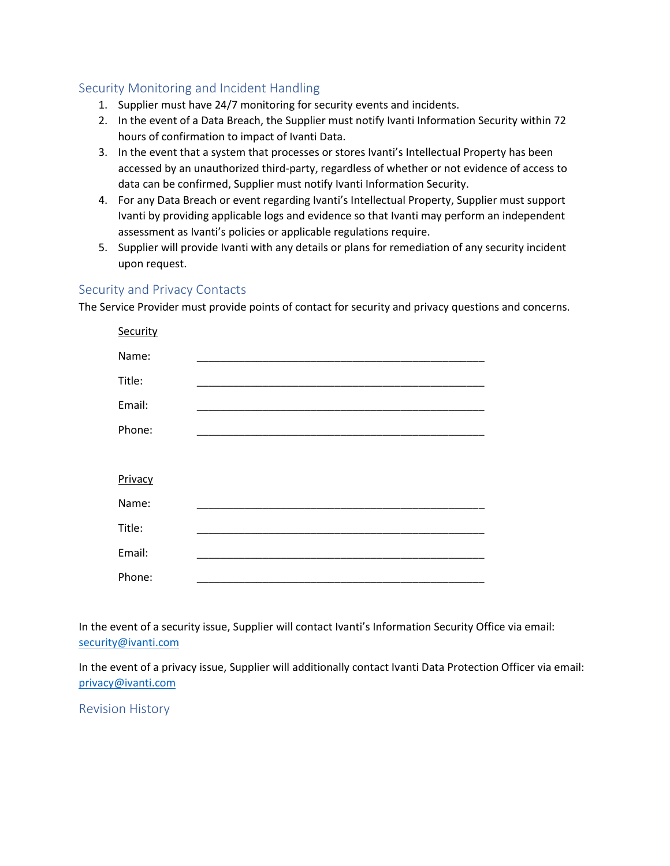#### Security Monitoring and Incident Handling

- 1. Supplier must have 24/7 monitoring for security events and incidents.
- 2. In the event of a Data Breach, the Supplier must notify Ivanti Information Security within 72 hours of confirmation to impact of Ivanti Data.
- 3. In the event that a system that processes or stores Ivanti's Intellectual Property has been accessed by an unauthorized third-party, regardless of whether or not evidence of access to data can be confirmed, Supplier must notify Ivanti Information Security.
- 4. For any Data Breach or event regarding Ivanti's Intellectual Property, Supplier must support Ivanti by providing applicable logs and evidence so that Ivanti may perform an independent assessment as Ivanti's policies or applicable regulations require.
- 5. Supplier will provide Ivanti with any details or plans for remediation of any security incident upon request.

#### Security and Privacy Contacts

The Service Provider must provide points of contact for security and privacy questions and concerns.

| Security |  |
|----------|--|
| Name:    |  |
| Title:   |  |
| Email:   |  |
| Phone:   |  |
|          |  |
| Privacy  |  |
| Name:    |  |
| Title:   |  |
| Email:   |  |
| Phone:   |  |

In the event of a security issue, Supplier will contact Ivanti's Information Security Office via email: [security@ivanti.com](mailto:security@ivanti.com)

In the event of a privacy issue, Supplier will additionally contact Ivanti Data Protection Officer via email: [privacy@ivanti.com](mailto:privacy@ivanti.com)

Revision History